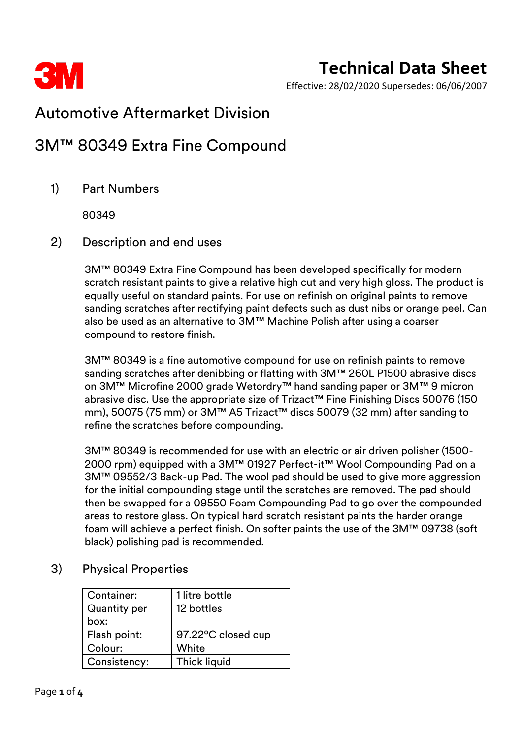

Effective: 28/02/2020 Supersedes: 06/06/2007

### Automotive Aftermarket Division

### 3M™ 80349 Extra Fine Compound

### 1) Part Numbers

80349

#### 2) Description and end uses

3M™ 80349 Extra Fine Compound has been developed specifically for modern scratch resistant paints to give a relative high cut and very high gloss. The product is equally useful on standard paints. For use on refinish on original paints to remove sanding scratches after rectifying paint defects such as dust nibs or orange peel. Can also be used as an alternative to 3M™ Machine Polish after using a coarser compound to restore finish.

3M™ 80349 is a fine automotive compound for use on refinish paints to remove sanding scratches after denibbing or flatting with 3M™ 260L P1500 abrasive discs on 3M™ Microfine 2000 grade Wetordry™ hand sanding paper or 3M™ 9 micron abrasive disc. Use the appropriate size of Trizact™ Fine Finishing Discs 50076 (150 mm), 50075 (75 mm) or 3M™ A5 Trizact™ discs 50079 (32 mm) after sanding to refine the scratches before compounding.

3M™ 80349 is recommended for use with an electric or air driven polisher (1500- 2000 rpm) equipped with a 3M™ 01927 Perfect-it™ Wool Compounding Pad on a 3M™ 09552/3 Back-up Pad. The wool pad should be used to give more aggression for the initial compounding stage until the scratches are removed. The pad should then be swapped for a 09550 Foam Compounding Pad to go over the compounded areas to restore glass. On typical hard scratch resistant paints the harder orange foam will achieve a perfect finish. On softer paints the use of the 3M™ 09738 (soft black) polishing pad is recommended.

#### 3) Physical Properties

| Container:          | 1 litre bottle      |
|---------------------|---------------------|
| <b>Quantity per</b> | 12 bottles          |
| box:                |                     |
| Flash point:        | 97.22°C closed cup  |
| Colour:             | White               |
| Consistency:        | <b>Thick liquid</b> |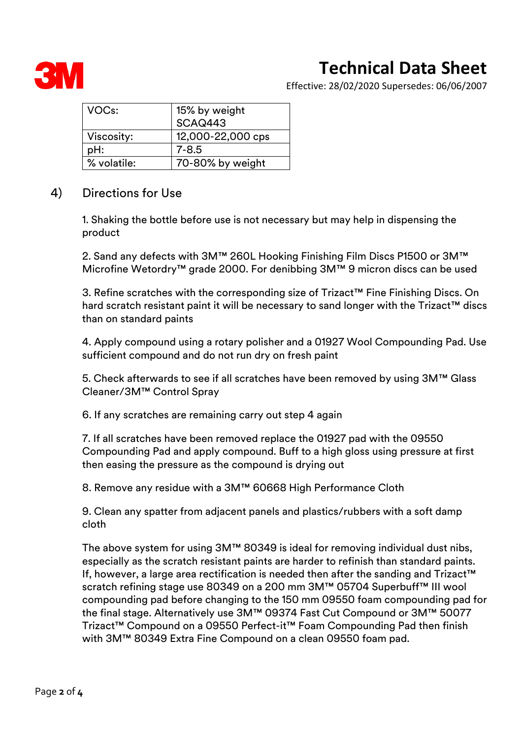

Effective: 28/02/2020 Supersedes: 06/06/2007

| VOC <sub>s</sub> : | 15% by weight     |
|--------------------|-------------------|
|                    | SCAQ443           |
| Viscosity:         | 12,000-22,000 cps |
| pH:                | $7 - 8.5$         |
| % volatile:        | 70-80% by weight  |

#### 4) Directions for Use

1. Shaking the bottle before use is not necessary but may help in dispensing the product

2. Sand any defects with 3M™ 260L Hooking Finishing Film Discs P1500 or 3M™ Microfine Wetordry™ grade 2000. For denibbing 3M™ 9 micron discs can be used

3. Refine scratches with the corresponding size of Trizact™ Fine Finishing Discs. On hard scratch resistant paint it will be necessary to sand longer with the Trizact™ discs than on standard paints

4. Apply compound using a rotary polisher and a 01927 Wool Compounding Pad. Use sufficient compound and do not run dry on fresh paint

5. Check afterwards to see if all scratches have been removed by using 3M™ Glass Cleaner/3M™ Control Spray

6. If any scratches are remaining carry out step 4 again

7. If all scratches have been removed replace the 01927 pad with the 09550 Compounding Pad and apply compound. Buff to a high gloss using pressure at first then easing the pressure as the compound is drying out

8. Remove any residue with a 3M™ 60668 High Performance Cloth

9. Clean any spatter from adjacent panels and plastics/rubbers with a soft damp cloth

The above system for using 3M™ 80349 is ideal for removing individual dust nibs, especially as the scratch resistant paints are harder to refinish than standard paints. If, however, a large area rectification is needed then after the sanding and Trizact™ scratch refining stage use 80349 on a 200 mm 3M™ 05704 Superbuff™ III wool compounding pad before changing to the 150 mm 09550 foam compounding pad for the final stage. Alternatively use 3M™ 09374 Fast Cut Compound or 3M™ 50077 Trizact™ Compound on a 09550 Perfect-it™ Foam Compounding Pad then finish with 3M™ 80349 Extra Fine Compound on a clean 09550 foam pad.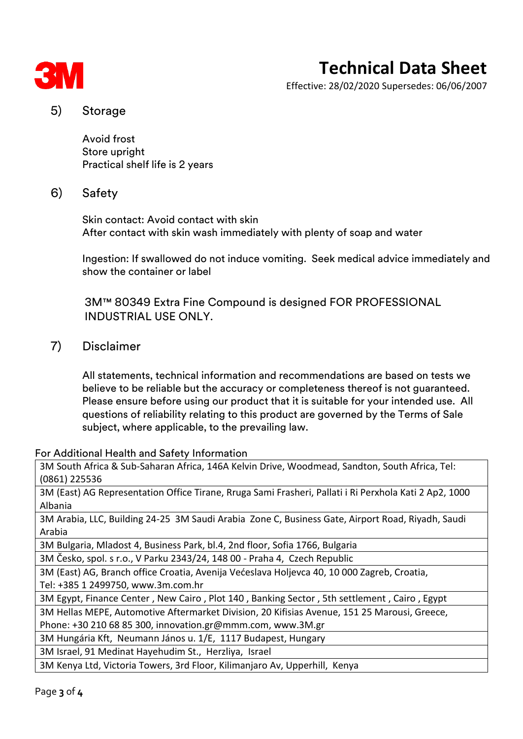

Effective: 28/02/2020 Supersedes: 06/06/2007

#### 5) Storage

Avoid frost Store upright Practical shelf life is 2 years

#### 6) Safety

Skin contact: Avoid contact with skin After contact with skin wash immediately with plenty of soap and water

Ingestion: If swallowed do not induce vomiting. Seek medical advice immediately and show the container or label

3M™ 80349 Extra Fine Compound is designed FOR PROFESSIONAL INDUSTRIAL USE ONLY.

#### 7) Disclaimer

All statements, technical information and recommendations are based on tests we believe to be reliable but the accuracy or completeness thereof is not guaranteed. Please ensure before using our product that it is suitable for your intended use. All questions of reliability relating to this product are governed by the Terms of Sale subject, where applicable, to the prevailing law.

#### For Additional Health and Safety Information

3M South Africa & Sub-Saharan Africa, 146A Kelvin Drive, Woodmead, Sandton, South Africa, Tel: (0861) 225536

3M (East) AG Representation Office Tirane, Rruga Sami Frasheri, Pallati i Ri Perxhola Kati 2 Ap2, 1000 Albania

3M Arabia, LLC, Building 24-25 3M Saudi Arabia Zone C, Business Gate, Airport Road, Riyadh, Saudi Arabia

3M Bulgaria, Mladost 4, Business Park, bl.4, 2nd floor, Sofia 1766, Bulgaria

3M Česko, spol. s r.o., V Parku 2343/24, 148 00 - Praha 4, Czech Republic

3M (East) AG, Branch office Croatia, Avenija Većeslava Holjevca 40, 10 000 Zagreb, Croatia, Tel: +385 1 2499750, www.3m.com.hr

3M Egypt, Finance Center , New Cairo , Plot 140 , Banking Sector , 5th settlement , Cairo , Egypt

3M Hellas MEPE, Automotive Aftermarket Division, 20 Kifisias Avenue, 151 25 Marousi, Greece,

Phone: +30 210 68 85 300, innovation.gr@mmm.com, www.3M.gr

3M Hungária Kft, Neumann János u. 1/E, 1117 Budapest, Hungary

3M Israel, 91 Medinat Hayehudim St., Herzliya, Israel

3M Kenya Ltd, Victoria Towers, 3rd Floor, Kilimanjaro Av, Upperhill, Kenya